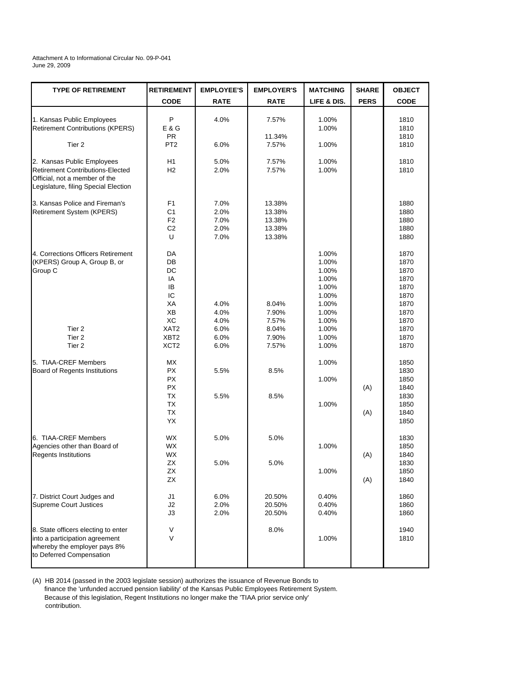## Attachment A to Informational Circular No. 09-P-041 June 29, 2009

| <b>TYPE OF RETIREMENT</b>                                          | <b>RETIREMENT</b> | <b>EMPLOYEE'S</b> | <b>EMPLOYER'S</b> | <b>MATCHING</b> | <b>SHARE</b> | <b>OBJECT</b> |
|--------------------------------------------------------------------|-------------------|-------------------|-------------------|-----------------|--------------|---------------|
|                                                                    | <b>CODE</b>       | <b>RATE</b>       | <b>RATE</b>       | LIFE & DIS.     | <b>PERS</b>  | <b>CODE</b>   |
| 1. Kansas Public Employees                                         | P                 | 4.0%              | 7.57%             | 1.00%           |              | 1810          |
| <b>Retirement Contributions (KPERS)</b>                            | E & G             |                   |                   | 1.00%           |              | 1810          |
|                                                                    | <b>PR</b>         |                   | 11.34%            |                 |              | 1810          |
| Tier 2                                                             | PT <sub>2</sub>   | 6.0%              | 7.57%             | 1.00%           |              | 1810          |
| 2. Kansas Public Employees                                         | H <sub>1</sub>    | 5.0%              | 7.57%             | 1.00%           |              | 1810          |
| Retirement Contributions-Elected                                   | H2                | 2.0%              | 7.57%             | 1.00%           |              | 1810          |
| Official, not a member of the                                      |                   |                   |                   |                 |              |               |
| Legislature, filing Special Election                               |                   |                   |                   |                 |              |               |
| 3. Kansas Police and Fireman's                                     | F1                | 7.0%              | 13.38%            |                 |              | 1880          |
| Retirement System (KPERS)                                          | C <sub>1</sub>    | 2.0%              | 13.38%            |                 |              | 1880          |
|                                                                    | F <sub>2</sub>    | 7.0%              | 13.38%            |                 |              | 1880          |
|                                                                    | C <sub>2</sub>    | 2.0%              | 13.38%            |                 |              | 1880          |
|                                                                    | U                 | 7.0%              | 13.38%            |                 |              | 1880          |
|                                                                    |                   |                   |                   |                 |              |               |
| 4. Corrections Officers Retirement<br>(KPERS) Group A, Group B, or | DA<br>DB          |                   |                   | 1.00%<br>1.00%  |              | 1870<br>1870  |
| Group C                                                            | DC                |                   |                   | 1.00%           |              | 1870          |
|                                                                    | IA                |                   |                   | 1.00%           |              | 1870          |
|                                                                    | IB                |                   |                   | 1.00%           |              | 1870          |
|                                                                    | IC                |                   |                   | 1.00%           |              | 1870          |
|                                                                    | ХA                | 4.0%              | 8.04%             | 1.00%           |              | 1870          |
|                                                                    | XB                | 4.0%              | 7.90%             | 1.00%           |              | 1870          |
|                                                                    | ХC                | 4.0%              | 7.57%             | 1.00%           |              | 1870          |
| Tier 2                                                             | XAT <sub>2</sub>  | 6.0%              | 8.04%             | 1.00%           |              | 1870          |
| Tier 2                                                             | XBT <sub>2</sub>  | 6.0%              | 7.90%             | 1.00%           |              | 1870          |
| Tier 2                                                             | XCT <sub>2</sub>  | 6.0%              | 7.57%             | 1.00%           |              | 1870          |
| 5. TIAA-CREF Members                                               | МX                |                   |                   | 1.00%           |              | 1850          |
| Board of Regents Institutions                                      | <b>PX</b>         | 5.5%              | 8.5%              |                 |              | 1830          |
|                                                                    | <b>PX</b>         |                   |                   | 1.00%           |              | 1850          |
|                                                                    | <b>PX</b>         |                   |                   |                 | (A)          | 1840          |
|                                                                    | ТX                | 5.5%              | 8.5%              |                 |              | 1830          |
|                                                                    | <b>TX</b>         |                   |                   | 1.00%           |              | 1850          |
|                                                                    | <b>TX</b>         |                   |                   |                 | (A)          | 1840          |
|                                                                    | YX                |                   |                   |                 |              | 1850          |
| 6. TIAA-CREF Members                                               | WX                | 5.0%              | 5.0%              |                 |              | 1830          |
| Agencies other than Board of                                       | <b>WX</b>         |                   |                   | 1.00%           |              | 1850          |
| <b>Regents Institutions</b>                                        | WX                |                   |                   |                 | (A)          | 1840          |
|                                                                    | ΖX                | 5.0%              | 5.0%              |                 |              | 1830          |
|                                                                    | ZX                |                   |                   | 1.00%           |              | 1850          |
|                                                                    | <b>ZX</b>         |                   |                   |                 | (A)          | 1840          |
| 7. District Court Judges and                                       | J1                | 6.0%              | 20.50%            | 0.40%           |              | 1860          |
| <b>Supreme Court Justices</b>                                      | J2                | 2.0%              | 20.50%            | 0.40%           |              | 1860          |
|                                                                    | J3                | 2.0%              | 20.50%            | 0.40%           |              | 1860          |
| 8. State officers electing to enter                                | V                 |                   | 8.0%              |                 |              | 1940          |
| into a participation agreement                                     | V                 |                   |                   | 1.00%           |              | 1810          |
| whereby the employer pays 8%                                       |                   |                   |                   |                 |              |               |
| to Deferred Compensation                                           |                   |                   |                   |                 |              |               |
|                                                                    |                   |                   |                   |                 |              |               |

(A) HB 2014 (passed in the 2003 legislate session) authorizes the issuance of Revenue Bonds to finance the 'unfunded accrued pension liability' of the Kansas Public Employees Retirement System. Because of this legislation, Regent Institutions no longer make the 'TIAA prior service only' contribution.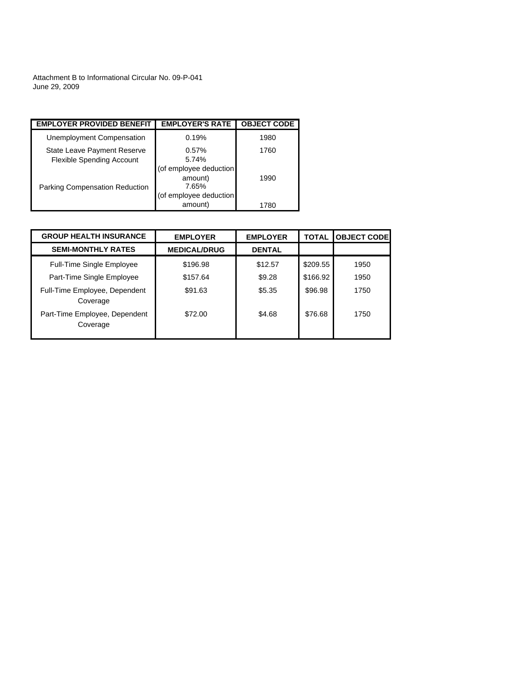Attachment B to Informational Circular No. 09-P-041 June 29, 2009

| <b>EMPLOYER PROVIDED BENEFIT</b>                                | <b>EMPLOYER'S RATE</b>                     | <b>OBJECT CODE</b> |
|-----------------------------------------------------------------|--------------------------------------------|--------------------|
| Unemployment Compensation                                       | 0.19%                                      | 1980               |
| State Leave Payment Reserve<br><b>Flexible Spending Account</b> | 0.57%<br>5.74%                             | 1760               |
| <b>Parking Compensation Reduction</b>                           | (of employee deduction<br>amount)<br>7.65% | 1990               |
|                                                                 | (of employee deduction<br>amount)          | 1780               |

| <b>GROUP HEALTH INSURANCE</b>             | <b>EMPLOYER</b>     | <b>EMPLOYER</b> | <b>TOTAL</b> | <b>OBJECT CODE</b> |
|-------------------------------------------|---------------------|-----------------|--------------|--------------------|
| <b>SEMI-MONTHLY RATES</b>                 | <b>MEDICAL/DRUG</b> | <b>DENTAL</b>   |              |                    |
| <b>Full-Time Single Employee</b>          | \$196.98            | \$12.57         | \$209.55     | 1950               |
| Part-Time Single Employee                 | \$157.64            | \$9.28          | \$166.92     | 1950               |
| Full-Time Employee, Dependent<br>Coverage | \$91.63             | \$5.35          | \$96.98      | 1750               |
| Part-Time Employee, Dependent<br>Coverage | \$72.00             | \$4.68          | \$76.68      | 1750               |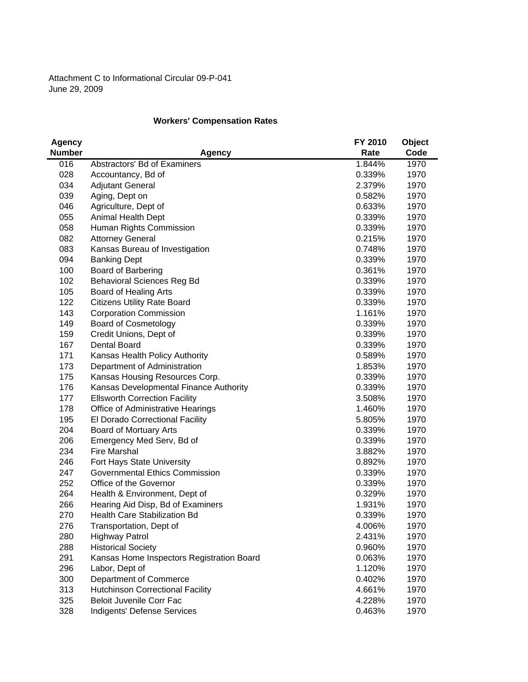## **Workers' Compensation Rates**

| <b>Agency</b> |                                           | FY 2010 | Object |
|---------------|-------------------------------------------|---------|--------|
| <b>Number</b> | <b>Agency</b>                             | Rate    | Code   |
| 016           | Abstractors' Bd of Examiners              | 1.844%  | 1970   |
| 028           | Accountancy, Bd of                        | 0.339%  | 1970   |
| 034           | <b>Adjutant General</b>                   | 2.379%  | 1970   |
| 039           | Aging, Dept on                            | 0.582%  | 1970   |
| 046           | Agriculture, Dept of                      | 0.633%  | 1970   |
| 055           | Animal Health Dept                        | 0.339%  | 1970   |
| 058           | Human Rights Commission                   | 0.339%  | 1970   |
| 082           | <b>Attorney General</b>                   | 0.215%  | 1970   |
| 083           | Kansas Bureau of Investigation            | 0.748%  | 1970   |
| 094           | <b>Banking Dept</b>                       | 0.339%  | 1970   |
| 100           | <b>Board of Barbering</b>                 | 0.361%  | 1970   |
| 102           | <b>Behavioral Sciences Reg Bd</b>         | 0.339%  | 1970   |
| 105           | Board of Healing Arts                     | 0.339%  | 1970   |
| 122           | <b>Citizens Utility Rate Board</b>        | 0.339%  | 1970   |
| 143           | <b>Corporation Commission</b>             | 1.161%  | 1970   |
| 149           | <b>Board of Cosmetology</b>               | 0.339%  | 1970   |
| 159           | Credit Unions, Dept of                    | 0.339%  | 1970   |
| 167           | Dental Board                              | 0.339%  | 1970   |
| 171           | Kansas Health Policy Authority            | 0.589%  | 1970   |
| 173           | Department of Administration              | 1.853%  | 1970   |
| 175           | Kansas Housing Resources Corp.            | 0.339%  | 1970   |
| 176           | Kansas Developmental Finance Authority    | 0.339%  | 1970   |
| 177           | <b>Ellsworth Correction Facility</b>      | 3.508%  | 1970   |
| 178           | Office of Administrative Hearings         | 1.460%  | 1970   |
| 195           | El Dorado Correctional Facility           | 5.805%  | 1970   |
| 204           | Board of Mortuary Arts                    | 0.339%  | 1970   |
| 206           | Emergency Med Serv, Bd of                 | 0.339%  | 1970   |
| 234           | <b>Fire Marshal</b>                       | 3.882%  | 1970   |
| 246           | Fort Hays State University                | 0.892%  | 1970   |
| 247           | <b>Governmental Ethics Commission</b>     | 0.339%  | 1970   |
| 252           | Office of the Governor                    | 0.339%  | 1970   |
| 264           | Health & Environment, Dept of             | 0.329%  | 1970   |
| 266           | Hearing Aid Disp, Bd of Examiners         | 1.931%  | 1970   |
| 270           | <b>Health Care Stabilization Bd</b>       | 0.339%  | 1970   |
| 276           | Transportation, Dept of                   | 4.006%  | 1970   |
| 280           | <b>Highway Patrol</b>                     | 2.431%  | 1970   |
| 288           | <b>Historical Society</b>                 | 0.960%  | 1970   |
| 291           | Kansas Home Inspectors Registration Board | 0.063%  | 1970   |
| 296           | Labor, Dept of                            | 1.120%  | 1970   |
| 300           | <b>Department of Commerce</b>             | 0.402%  | 1970   |
| 313           | <b>Hutchinson Correctional Facility</b>   | 4.661%  | 1970   |
| 325           | <b>Beloit Juvenile Corr Fac</b>           | 4.228%  | 1970   |
| 328           | Indigents' Defense Services               | 0.463%  | 1970   |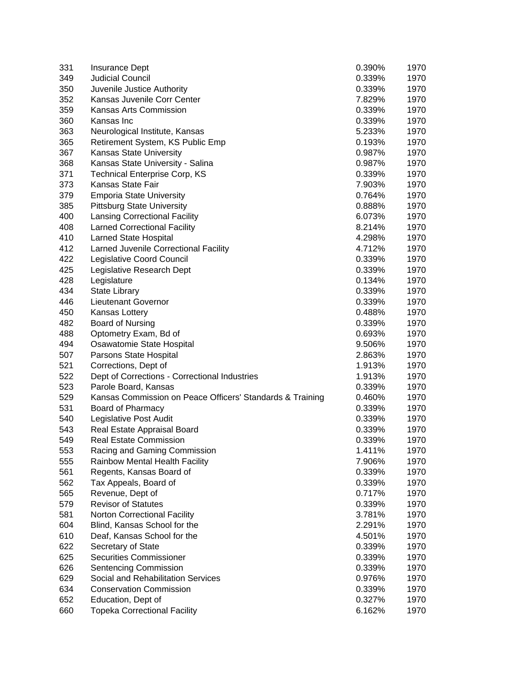| 331 | Insurance Dept                                            | 0.390% | 1970 |
|-----|-----------------------------------------------------------|--------|------|
| 349 | <b>Judicial Council</b>                                   | 0.339% | 1970 |
| 350 | Juvenile Justice Authority                                | 0.339% | 1970 |
| 352 | Kansas Juvenile Corr Center                               | 7.829% | 1970 |
| 359 | Kansas Arts Commission                                    | 0.339% | 1970 |
| 360 | Kansas Inc                                                | 0.339% | 1970 |
| 363 | Neurological Institute, Kansas                            | 5.233% | 1970 |
| 365 | Retirement System, KS Public Emp                          | 0.193% | 1970 |
| 367 | <b>Kansas State University</b>                            | 0.987% | 1970 |
| 368 | Kansas State University - Salina                          | 0.987% | 1970 |
| 371 | <b>Technical Enterprise Corp, KS</b>                      | 0.339% | 1970 |
| 373 | Kansas State Fair                                         | 7.903% | 1970 |
| 379 | <b>Emporia State University</b>                           | 0.764% | 1970 |
| 385 | <b>Pittsburg State University</b>                         | 0.888% | 1970 |
| 400 | <b>Lansing Correctional Facility</b>                      | 6.073% | 1970 |
| 408 | <b>Larned Correctional Facility</b>                       | 8.214% | 1970 |
| 410 | <b>Larned State Hospital</b>                              | 4.298% | 1970 |
| 412 | Larned Juvenile Correctional Facility                     | 4.712% | 1970 |
| 422 | Legislative Coord Council                                 | 0.339% | 1970 |
| 425 | Legislative Research Dept                                 | 0.339% | 1970 |
| 428 | Legislature                                               | 0.134% | 1970 |
| 434 | <b>State Library</b>                                      | 0.339% | 1970 |
| 446 | <b>Lieutenant Governor</b>                                | 0.339% | 1970 |
| 450 | Kansas Lottery                                            | 0.488% | 1970 |
| 482 | <b>Board of Nursing</b>                                   | 0.339% | 1970 |
| 488 | Optometry Exam, Bd of                                     | 0.693% | 1970 |
| 494 | Osawatomie State Hospital                                 | 9.506% | 1970 |
| 507 | Parsons State Hospital                                    | 2.863% | 1970 |
| 521 | Corrections, Dept of                                      | 1.913% | 1970 |
| 522 | Dept of Corrections - Correctional Industries             | 1.913% | 1970 |
| 523 | Parole Board, Kansas                                      | 0.339% | 1970 |
| 529 | Kansas Commission on Peace Officers' Standards & Training | 0.460% | 1970 |
| 531 | Board of Pharmacy                                         | 0.339% | 1970 |
| 540 | Legislative Post Audit                                    | 0.339% | 1970 |
| 543 | Real Estate Appraisal Board                               | 0.339% | 1970 |
| 549 | <b>Real Estate Commission</b>                             | 0.339% | 1970 |
| 553 | Racing and Gaming Commission                              | 1.411% | 1970 |
| 555 | Rainbow Mental Health Facility                            | 7.906% | 1970 |
| 561 | Regents, Kansas Board of                                  | 0.339% | 1970 |
| 562 | Tax Appeals, Board of                                     | 0.339% | 1970 |
| 565 | Revenue, Dept of                                          | 0.717% | 1970 |
| 579 | <b>Revisor of Statutes</b>                                | 0.339% | 1970 |
| 581 | Norton Correctional Facility                              | 3.781% | 1970 |
| 604 | Blind, Kansas School for the                              | 2.291% | 1970 |
| 610 | Deaf, Kansas School for the                               | 4.501% | 1970 |
| 622 | Secretary of State                                        | 0.339% | 1970 |
| 625 | <b>Securities Commissioner</b>                            | 0.339% | 1970 |
| 626 | Sentencing Commission                                     | 0.339% | 1970 |
| 629 | Social and Rehabilitation Services                        | 0.976% | 1970 |
| 634 | <b>Conservation Commission</b>                            | 0.339% | 1970 |
| 652 | Education, Dept of                                        | 0.327% | 1970 |
| 660 | <b>Topeka Correctional Facility</b>                       | 6.162% | 1970 |
|     |                                                           |        |      |